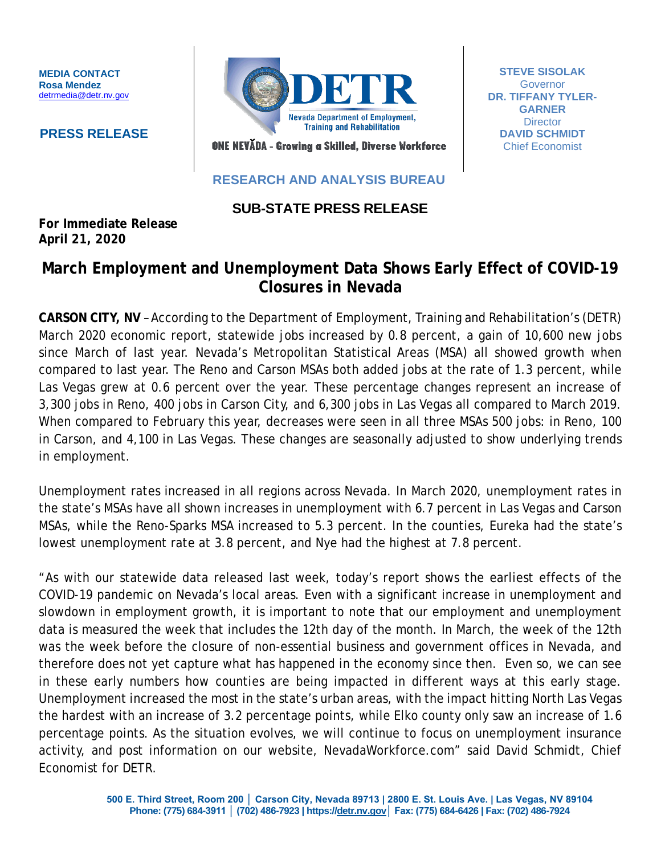**MEDIA CONTACT Rosa Mendez** [detrmedia@detr.nv.gov](mailto:detrmedia@detr.nv.gov)

 **PRESS RELEASE**



**STEVE SISOLAK Governor DR. TIFFANY TYLER-GARNER Director DAVID SCHMIDT** Chief Economist

ONE NEVĂDA - Growing a Skilled, Diverse Workforce

## **RESEARCH AND ANALYSIS BUREAU**

# **SUB-STATE PRESS RELEASE**

**For Immediate Release April 21, 2020**

# **March Employment and Unemployment Data Shows Early Effect of COVID-19 Closures in Nevada**

**CARSON CITY, NV** – According to the Department of Employment, Training and Rehabilitation's (DETR) March 2020 economic report, statewide jobs increased by 0.8 percent, a gain of 10,600 new jobs since March of last year. Nevada's Metropolitan Statistical Areas (MSA) all showed growth when compared to last year. The Reno and Carson MSAs both added jobs at the rate of 1.3 percent, while Las Vegas grew at 0.6 percent over the year. These percentage changes represent an increase of 3,300 jobs in Reno, 400 jobs in Carson City, and 6,300 jobs in Las Vegas all compared to March 2019. When compared to February this year, decreases were seen in all three MSAs 500 jobs: in Reno, 100 in Carson, and 4,100 in Las Vegas. These changes are seasonally adjusted to show underlying trends in employment.

Unemployment rates increased in all regions across Nevada. In March 2020, unemployment rates in the state's MSAs have all shown increases in unemployment with 6.7 percent in Las Vegas and Carson MSAs, while the Reno-Sparks MSA increased to 5.3 percent. In the counties, Eureka had the state's lowest unemployment rate at 3.8 percent, and Nye had the highest at 7.8 percent.

"As with our statewide data released last week, today's report shows the earliest effects of the COVID-19 pandemic on Nevada's local areas. Even with a significant increase in unemployment and slowdown in employment growth, it is important to note that our employment and unemployment data is measured the week that includes the 12th day of the month. In March, the week of the 12th was the week before the closure of non-essential business and government offices in Nevada, and therefore does not yet capture what has happened in the economy since then. Even so, we can see in these early numbers how counties are being impacted in different ways at this early stage. Unemployment increased the most in the state's urban areas, with the impact hitting North Las Vegas the hardest with an increase of 3.2 percentage points, while Elko county only saw an increase of 1.6 percentage points. As the situation evolves, we will continue to focus on unemployment insurance activity, and post information on our website, NevadaWorkforce.com" said David Schmidt, Chief Economist for DETR.